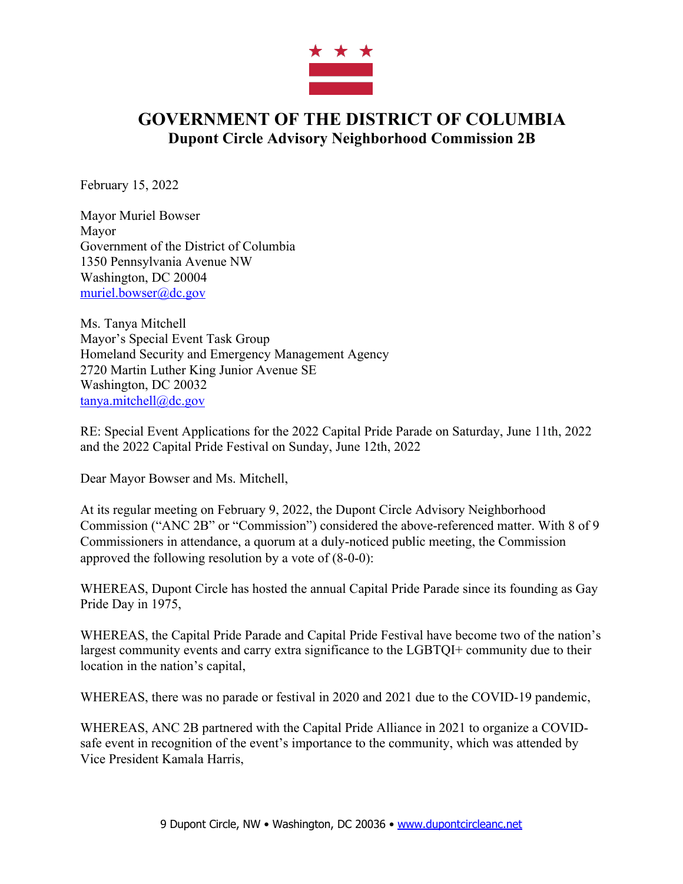

## **GOVERNMENT OF THE DISTRICT OF COLUMBIA Dupont Circle Advisory Neighborhood Commission 2B**

February 15, 2022

Mayor Muriel Bowser Mayor Government of the District of Columbia 1350 Pennsylvania Avenue NW Washington, DC 20004 muriel.bowser@dc.gov

Ms. Tanya Mitchell Mayor's Special Event Task Group Homeland Security and Emergency Management Agency 2720 Martin Luther King Junior Avenue SE Washington, DC 20032 tanya.mitchell@dc.gov

RE: Special Event Applications for the 2022 Capital Pride Parade on Saturday, June 11th, 2022 and the 2022 Capital Pride Festival on Sunday, June 12th, 2022

Dear Mayor Bowser and Ms. Mitchell,

At its regular meeting on February 9, 2022, the Dupont Circle Advisory Neighborhood Commission ("ANC 2B" or "Commission") considered the above-referenced matter. With 8 of 9 Commissioners in attendance, a quorum at a duly-noticed public meeting, the Commission approved the following resolution by a vote of (8-0-0):

WHEREAS, Dupont Circle has hosted the annual Capital Pride Parade since its founding as Gay Pride Day in 1975,

WHEREAS, the Capital Pride Parade and Capital Pride Festival have become two of the nation's largest community events and carry extra significance to the LGBTQI+ community due to their location in the nation's capital,

WHEREAS, there was no parade or festival in 2020 and 2021 due to the COVID-19 pandemic,

WHEREAS, ANC 2B partnered with the Capital Pride Alliance in 2021 to organize a COVIDsafe event in recognition of the event's importance to the community, which was attended by Vice President Kamala Harris,